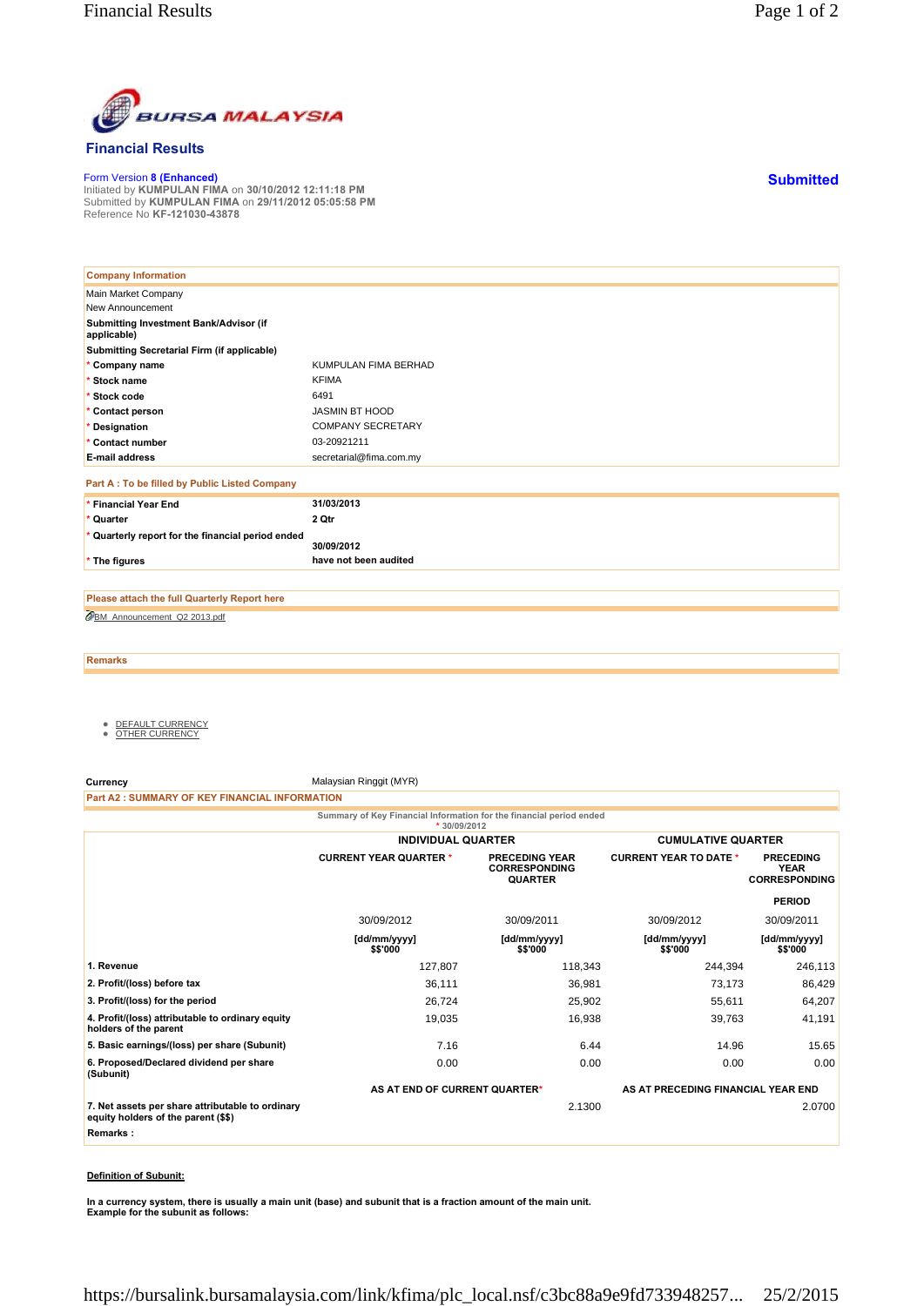

## **Financial Results**

Form Version **8 (Enhanced)** Initiated by **KUMPULAN FIMA** on **30/10/2012 12:11:18 PM** Submitted by **KUMPULAN FIMA** on **29/11/2012 05:05:58 PM** Reference No **KF-121030-43878**

| <b>Company Information</b>                            |                          |
|-------------------------------------------------------|--------------------------|
| Main Market Company                                   |                          |
| New Announcement                                      |                          |
| Submitting Investment Bank/Advisor (if<br>applicable) |                          |
| Submitting Secretarial Firm (if applicable)           |                          |
| * Company name                                        | KUMPULAN FIMA BERHAD     |
| * Stock name                                          | <b>KFIMA</b>             |
| * Stock code                                          | 6491                     |
| * Contact person                                      | JASMIN BT HOOD           |
| * Designation                                         | <b>COMPANY SECRETARY</b> |
| * Contact number                                      | 03-20921211              |
| <b>E-mail address</b>                                 | secretarial@fima.com.my  |
| Part A : To be filled by Public Listed Company        |                          |
| * Financial Year End                                  | 31/03/2013               |
| * Quarter                                             | 2 Qtr                    |
| * Quarterly report for the financial period ended     | 30/09/2012               |
| * The figures                                         | have not been audited    |
|                                                       |                          |

BM\_Announcement\_Q2 2013.pdf **Please attach the full Quarterly Report here**

**Remarks**

- <u>DEFAULT CURRENCY</u><br>● <u>OTHER CURRENCY</u>
- 

**Currency** Malaysian Ringgit (MYR)

**Part A2 : SUMMARY OF KEY FINANCIAL INFORMATION**

**Summary of Key Financial Information for the financial period ended**

|                                                                                         | * $30/09/2012$                |                                                                 |                                    |                                                         |
|-----------------------------------------------------------------------------------------|-------------------------------|-----------------------------------------------------------------|------------------------------------|---------------------------------------------------------|
|                                                                                         | <b>INDIVIDUAL QUARTER</b>     |                                                                 | <b>CUMULATIVE QUARTER</b>          |                                                         |
|                                                                                         | <b>CURRENT YEAR QUARTER *</b> | <b>PRECEDING YEAR</b><br><b>CORRESPONDING</b><br><b>QUARTER</b> | <b>CURRENT YEAR TO DATE *</b>      | <b>PRECEDING</b><br><b>YEAR</b><br><b>CORRESPONDING</b> |
|                                                                                         |                               |                                                                 |                                    | <b>PERIOD</b>                                           |
|                                                                                         | 30/09/2012                    | 30/09/2011                                                      | 30/09/2012                         | 30/09/2011                                              |
|                                                                                         | [dd/mm/yyyy]<br>\$\$'000      | [dd/mm/yyyy]<br>\$\$'000                                        | [dd/mm/yyyy]<br>\$\$'000           | [dd/mm/yyyy]<br>\$\$'000                                |
| 1. Revenue                                                                              | 127,807                       | 118,343                                                         | 244,394                            | 246,113                                                 |
| 2. Profit/(loss) before tax                                                             | 36,111                        | 36,981                                                          | 73,173                             | 86,429                                                  |
| 3. Profit/(loss) for the period                                                         | 26,724                        | 25,902                                                          | 55,611                             | 64,207                                                  |
| 4. Profit/(loss) attributable to ordinary equity<br>holders of the parent               | 19,035                        | 16,938                                                          | 39,763                             | 41,191                                                  |
| 5. Basic earnings/(loss) per share (Subunit)                                            | 7.16                          | 6.44                                                            | 14.96                              | 15.65                                                   |
| 6. Proposed/Declared dividend per share<br>(Subunit)                                    | 0.00                          | 0.00                                                            | 0.00                               | 0.00                                                    |
|                                                                                         | AS AT END OF CURRENT QUARTER* |                                                                 | AS AT PRECEDING FINANCIAL YEAR END |                                                         |
| 7. Net assets per share attributable to ordinary<br>equity holders of the parent (\$\$) |                               | 2.1300                                                          |                                    | 2.0700                                                  |
| Remarks:                                                                                |                               |                                                                 |                                    |                                                         |

## **Definition of Subunit:**

**In a currency system, there is usually a main unit (base) and subunit that is a fraction amount of the main unit. Example for the subunit as follows:**

**Submitted**